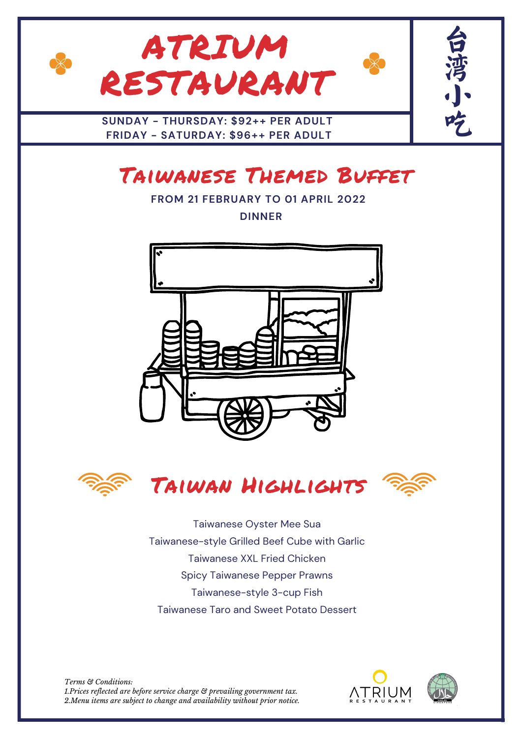

## Taiwanese Themed Buffet

**FROM 21 FEBRUARY TO 01 APRIL 2022 DINNER**









Taiwanese Oyster Mee Sua Taiwanese-style Grilled Beef Cube with Garlic Taiwanese XXL Fried Chicken Spicy Taiwanese Pepper Prawns Taiwanese-style 3-cup Fish Taiwanese Taro and Sweet Potato Dessert

*Terms & Conditions: 1.Prices reflected are before service charge & prevailing government tax. 2.Menu items are subject to change and availability without prior notice.*



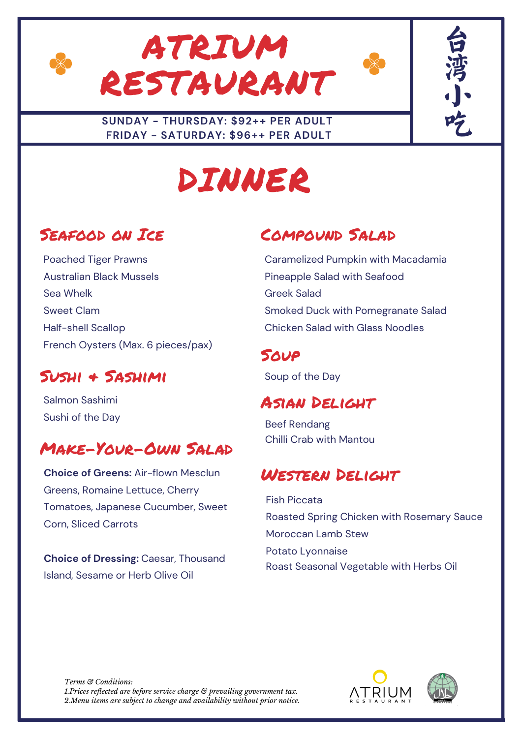



#### **SUNDAY - THURSDAY: \$92++ PER ADULT FRIDAY - SATURDAY: \$96++ PER ADULT**

# DINNER

### Seafood on Ice

Poached Tiger Prawns Australian Black Mussels Sea Whelk Sweet Clam Half-shell Scallop French Oysters (Max. 6 pieces/pax)

### Sushi & Sashimi

Salmon Sashimi Sushi of the Day

### Make-Your-Own Salad

**Choice of Greens:** Air-flown Mesclun Greens, Romaine Lettuce, Cherry Tomatoes, Japanese Cucumber, Sweet Corn, Sliced Carrots

**Choice of Dressing:** Caesar, Thousand Island, Sesame or Herb Olive Oil

## Compound Salad

Caramelized Pumpkin with Macadamia Pineapple Salad with Seafood Greek Salad Smoked Duck with Pomegranate Salad Chicken Salad with Glass Noodles

#### **SOUP**

Soup of the Day

#### Asian Delight

Beef Rendang Chilli Crab with Mantou

#### Western Delight

Fish Piccata Roasted Spring Chicken with Rosemary Sauce Moroccan Lamb Stew Potato Lyonnaise Roast Seasonal Vegetable with Herbs Oil

*Terms & Conditions: 1.Prices reflected are before service charge & prevailing government tax. 2.Menu items are subject to change and availability without prior notice.*





台

湾

小,

吃